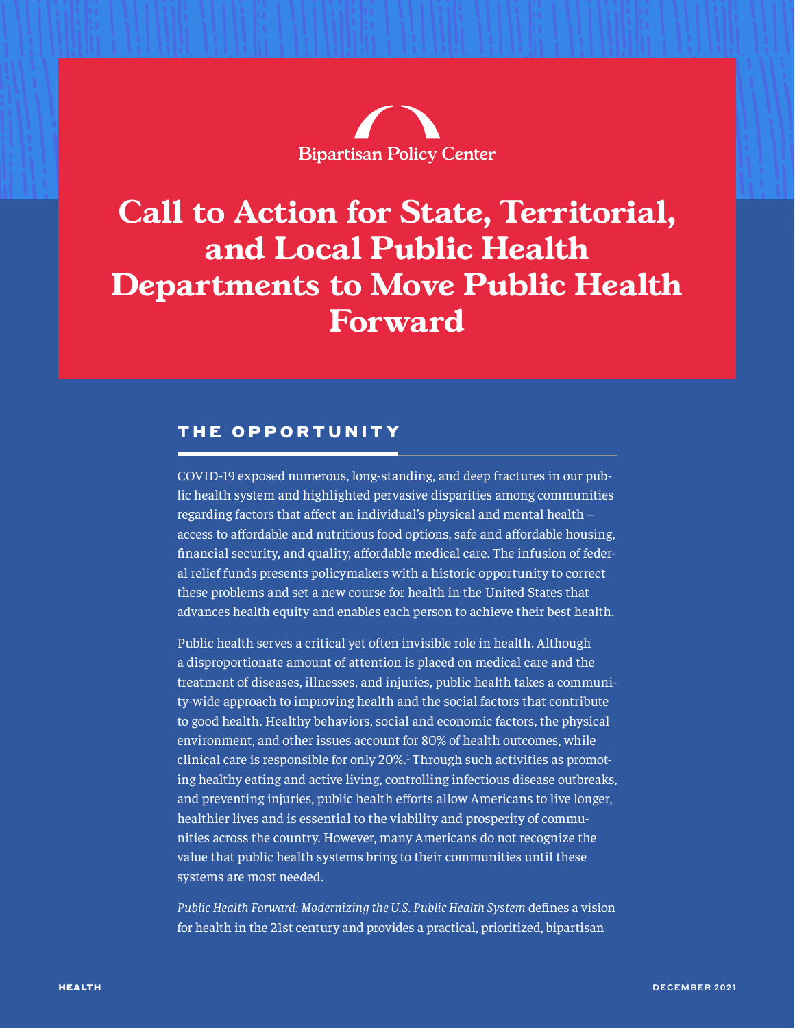

# <span id="page-0-0"></span>**Call to Action for State, Territorial, and Local Public Health Departments to Move Public Health Forward**

#### THE OPPORTUNITY

COVID-19 exposed numerous, long-standing, and deep fractures in our public health system and highlighted pervasive disparities among communities regarding factors that affect an individual's physical and mental health – access to affordable and nutritious food options, safe and affordable housing, financial security, and quality, affordable medical care. The infusion of federal relief funds presents policymakers with a historic opportunity to correct these problems and set a new course for health in the United States that advances health equity and enables each person to achieve their best health.

Public health serves a critical yet often invisible role in health. Although a disproportionate amount of attention is placed on medical care and the treatment of diseases, illnesses, and injuries, public health takes a community-wide approach to improving health and the social factors that contribute to good health. Healthy behaviors, social and economic factors, the physical environment, and other issues account for 80% of health outcomes, while clinical care is responsible for only 20%.<sup>[1](#page-5-0)</sup> Through such activities as promoting healthy eating and active living, controlling infectious disease outbreaks, and preventing injuries, public health efforts allow Americans to live longer, healthier lives and is essential to the viability and prosperity of communities across the country. However, many Americans do not recognize the value that public health systems bring to their communities until these systems are most needed.

*Public Health Forward: Modernizing the U.S. Public Health System* defines a vision for health in the 21st century and provides a practical, prioritized, bipartisan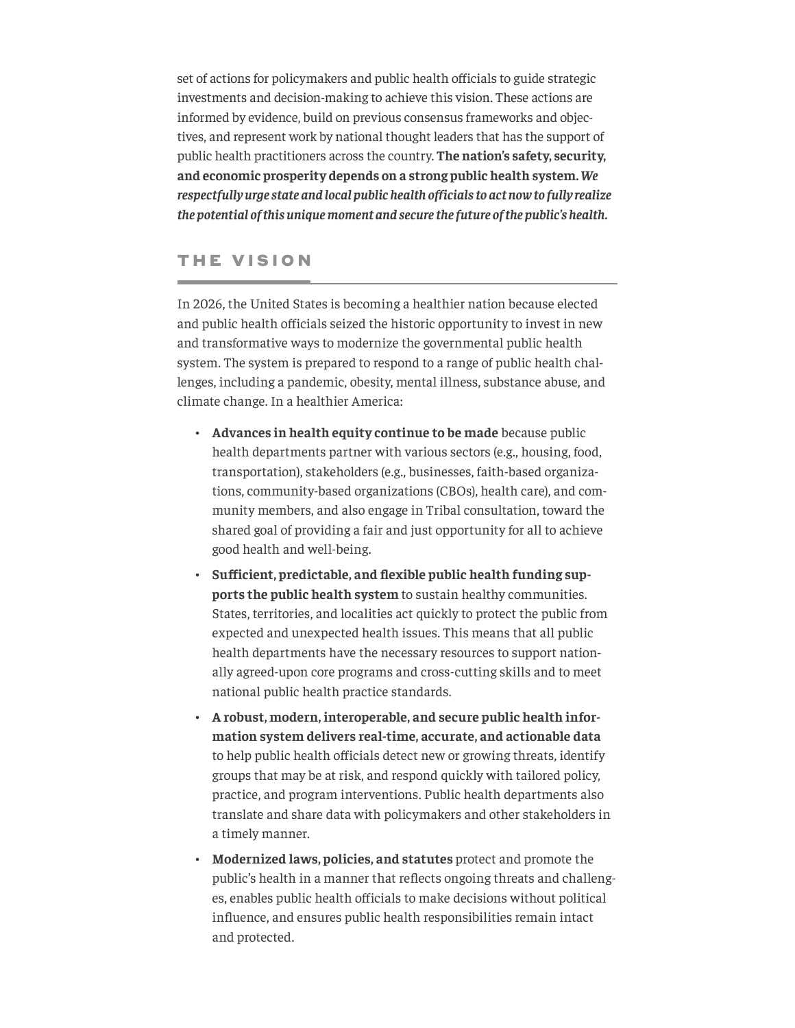set of actions for policymakers and public health officials to guide strategic investments and decision-making to achieve this vision. These actions are informed by evidence, build on previous consensus frameworks and objectives, and represent work by national thought leaders that has the support of public health practitioners across the country. **The nation's safety, security, and economic prosperity depends on a strong public health system.** *We respectfully urge state and local public health officials to act now to fully realize the potential of this unique moment and secure the future of the public's health.*

#### THE VISION

In 2026, the United States is becoming a healthier nation because elected and public health officials seized the historic opportunity to invest in new and transformative ways to modernize the governmental public health system. The system is prepared to respond to a range of public health challenges, including a pandemic, obesity, mental illness, substance abuse, and climate change. In a healthier America:

- **Advances in health equity continue to be made** because public health departments partner with various sectors (e.g., housing, food, transportation), stakeholders (e.g., businesses, faith-based organizations, community-based organizations (CBOs), health care), and community members, and also engage in Tribal consultation, toward the shared goal of providing a fair and just opportunity for all to achieve good health and well-being.
- **Sufficient, predictable, and flexible public health funding supports the public health system** to sustain healthy communities. States, territories, and localities act quickly to protect the public from expected and unexpected health issues. This means that all public health departments have the necessary resources to support nationally agreed-upon core programs and cross-cutting skills and to meet national public health practice standards.
- **A robust, modern, interoperable, and secure public health information system delivers real-time, accurate, and actionable data** to help public health officials detect new or growing threats, identify groups that may be at risk, and respond quickly with tailored policy, practice, and program interventions. Public health departments also translate and share data with policymakers and other stakeholders in a timely manner.
- **Modernized laws, policies, and statutes** protect and promote the public's health in a manner that reflects ongoing threats and challenges, enables public health officials to make decisions without political influence, and ensures public health responsibilities remain intact and protected.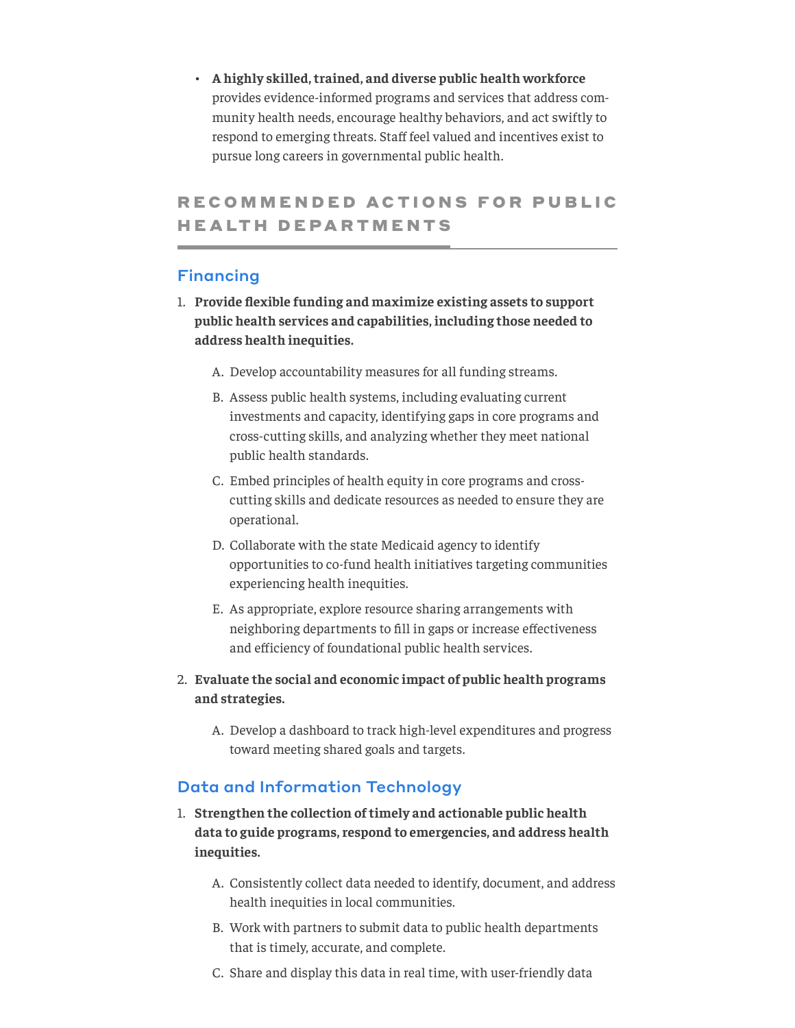• **A highly skilled, trained, and diverse public health workforce** provides evidence-informed programs and services that address community health needs, encourage healthy behaviors, and act swiftly to respond to emerging threats. Staff feel valued and incentives exist to pursue long careers in governmental public health.

### RECOMMENDED ACTIONS FOR PUBLIC **HEALTH DEPARTMENTS**

#### Financing

- 1. **Provide flexible funding and maximize existing assets to support public health services and capabilities, including those needed to address health inequities.** 
	- A. Develop accountability measures for all funding streams.
	- B. Assess public health systems, including evaluating current investments and capacity, identifying gaps in core programs and cross-cutting skills, and analyzing whether they meet national public health standards.
	- C. Embed principles of health equity in core programs and crosscutting skills and dedicate resources as needed to ensure they are operational.
	- D. Collaborate with the state Medicaid agency to identify opportunities to co-fund health initiatives targeting communities experiencing health inequities.
	- E. As appropriate, explore resource sharing arrangements with neighboring departments to fill in gaps or increase effectiveness and efficiency of foundational public health services.
- 2. **Evaluate the social and economic impact of public health programs and strategies.**
	- A. Develop a dashboard to track high-level expenditures and progress toward meeting shared goals and targets.

#### Data and Information Technology

- 1. **Strengthen the collection of timely and actionable public health data to guide programs, respond to emergencies, and address health inequities.**
	- A. Consistently collect data needed to identify, document, and address health inequities in local communities.
	- B. Work with partners to submit data to public health departments that is timely, accurate, and complete.
	- C. Share and display this data in real time, with user-friendly data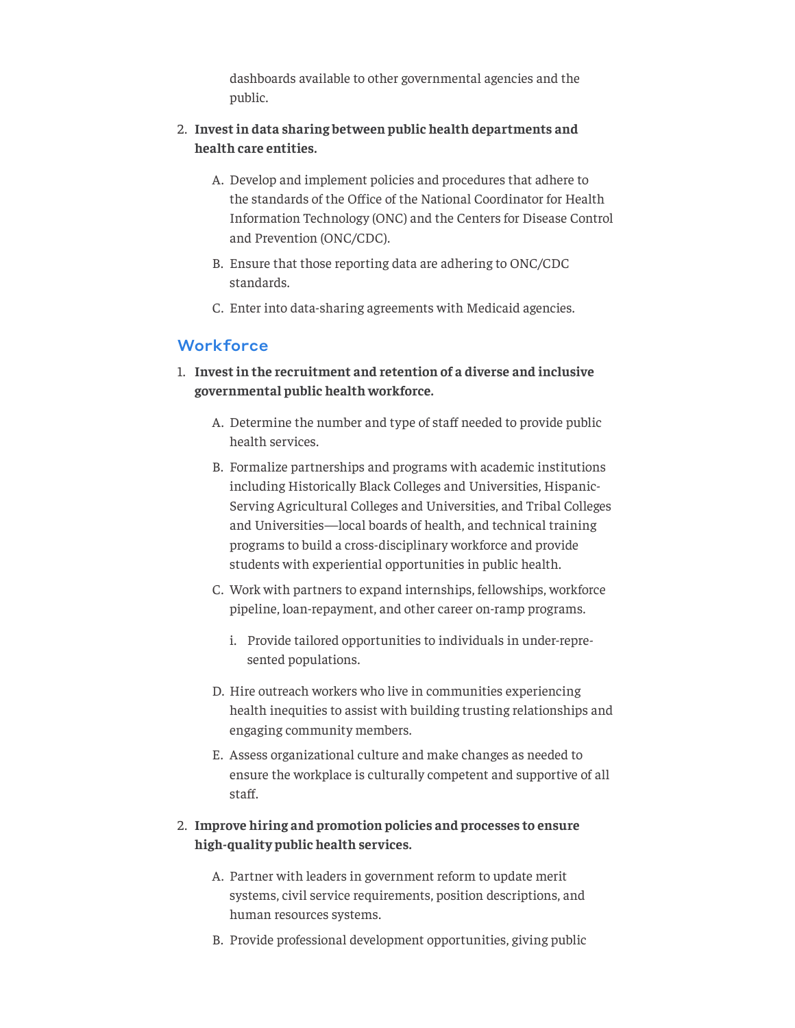dashboards available to other governmental agencies and the public.

#### 2. **Invest in data sharing between public health departments and health care entities.**

- A. Develop and implement policies and procedures that adhere to the standards of the Office of the National Coordinator for Health Information Technology (ONC) and the Centers for Disease Control and Prevention (ONC/CDC).
- B. Ensure that those reporting data are adhering to ONC/CDC standards.
- C. Enter into data-sharing agreements with Medicaid agencies.

#### **Workforce**

- 1. **Invest in the recruitment and retention of a diverse and inclusive governmental public health workforce.**
	- A. Determine the number and type of staff needed to provide public health services.
	- B. Formalize partnerships and programs with academic institutions including Historically Black Colleges and Universities, Hispanic-Serving Agricultural Colleges and Universities, and Tribal Colleges and Universities—local boards of health, and technical training programs to build a cross-disciplinary workforce and provide students with experiential opportunities in public health.
	- C. Work with partners to expand internships, fellowships, workforce pipeline, loan-repayment, and other career on-ramp programs.
		- i. Provide tailored opportunities to individuals in under-represented populations.
	- D. Hire outreach workers who live in communities experiencing health inequities to assist with building trusting relationships and engaging community members.
	- E. Assess organizational culture and make changes as needed to ensure the workplace is culturally competent and supportive of all staff.

#### 2. **Improve hiring and promotion policies and processes to ensure high-quality public health services.**

- A. Partner with leaders in government reform to update merit systems, civil service requirements, position descriptions, and human resources systems.
- B. Provide professional development opportunities, giving public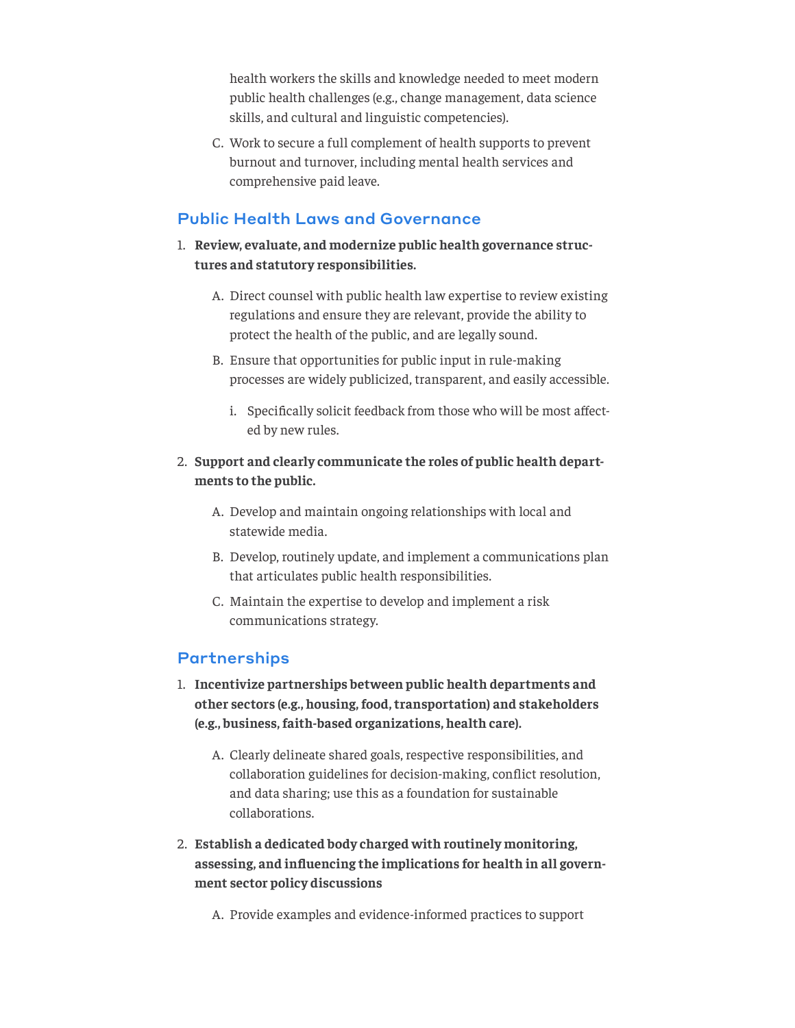health workers the skills and knowledge needed to meet modern public health challenges (e.g., change management, data science skills, and cultural and linguistic competencies).

C. Work to secure a full complement of health supports to prevent burnout and turnover, including mental health services and comprehensive paid leave.

#### Public Health Laws and Governance

- 1. **Review, evaluate, and modernize public health governance structures and statutory responsibilities.** 
	- A. Direct counsel with public health law expertise to review existing regulations and ensure they are relevant, provide the ability to protect the health of the public, and are legally sound.
	- B. Ensure that opportunities for public input in rule-making processes are widely publicized, transparent, and easily accessible.
		- i. Specifically solicit feedback from those who will be most affected by new rules.
- 2. **Support and clearly communicate the roles of public health departments to the public.**
	- A. Develop and maintain ongoing relationships with local and statewide media.
	- B. Develop, routinely update, and implement a communications plan that articulates public health responsibilities.
	- C. Maintain the expertise to develop and implement a risk communications strategy.

#### **Partnerships**

- 1. **Incentivize partnerships between public health departments and other sectors (e.g., housing, food, transportation) and stakeholders (e.g., business, faith-based organizations, health care).**
	- A. Clearly delineate shared goals, respective responsibilities, and collaboration guidelines for decision-making, conflict resolution, and data sharing; use this as a foundation for sustainable collaborations.
- 2. **Establish a dedicated body charged with routinely monitoring, assessing, and influencing the implications for health in all government sector policy discussions**

A. Provide examples and evidence-informed practices to support